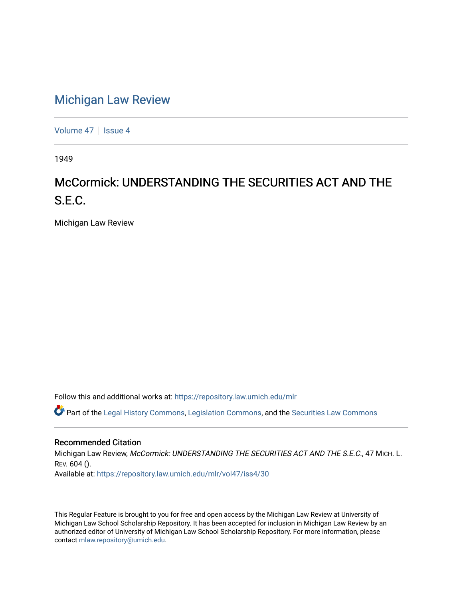## [Michigan Law Review](https://repository.law.umich.edu/mlr)

[Volume 47](https://repository.law.umich.edu/mlr/vol47) | [Issue 4](https://repository.law.umich.edu/mlr/vol47/iss4)

1949

## McCormick: UNDERSTANDING THE SECURITIES ACT AND THE S.E.C.

Michigan Law Review

Follow this and additional works at: [https://repository.law.umich.edu/mlr](https://repository.law.umich.edu/mlr?utm_source=repository.law.umich.edu%2Fmlr%2Fvol47%2Fiss4%2F30&utm_medium=PDF&utm_campaign=PDFCoverPages) 

 $\bullet$  Part of the [Legal History Commons](http://network.bepress.com/hgg/discipline/904?utm_source=repository.law.umich.edu%2Fmlr%2Fvol47%2Fiss4%2F30&utm_medium=PDF&utm_campaign=PDFCoverPages), [Legislation Commons,](http://network.bepress.com/hgg/discipline/859?utm_source=repository.law.umich.edu%2Fmlr%2Fvol47%2Fiss4%2F30&utm_medium=PDF&utm_campaign=PDFCoverPages) and the [Securities Law Commons](http://network.bepress.com/hgg/discipline/619?utm_source=repository.law.umich.edu%2Fmlr%2Fvol47%2Fiss4%2F30&utm_medium=PDF&utm_campaign=PDFCoverPages)

## Recommended Citation

Michigan Law Review, McCormick: UNDERSTANDING THE SECURITIES ACT AND THE S.E.C., 47 MICH. L. REV. 604 (). Available at: [https://repository.law.umich.edu/mlr/vol47/iss4/30](https://repository.law.umich.edu/mlr/vol47/iss4/30?utm_source=repository.law.umich.edu%2Fmlr%2Fvol47%2Fiss4%2F30&utm_medium=PDF&utm_campaign=PDFCoverPages) 

This Regular Feature is brought to you for free and open access by the Michigan Law Review at University of Michigan Law School Scholarship Repository. It has been accepted for inclusion in Michigan Law Review by an authorized editor of University of Michigan Law School Scholarship Repository. For more information, please contact [mlaw.repository@umich.edu](mailto:mlaw.repository@umich.edu).